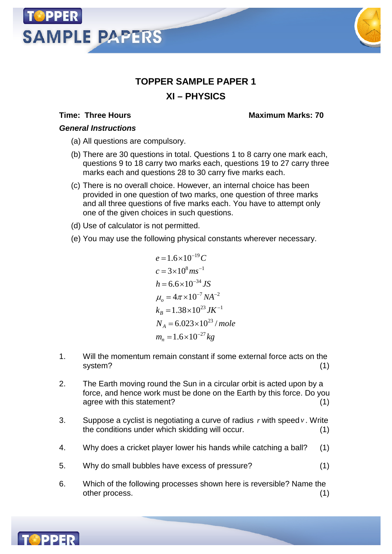# **SAMPLE PAPERS**



## **TOPPER SAMPLE PAPER 1 XI – PHYSICS**

#### **Time: Three Hours Maximum Marks: 70**

### *General Instructions*

- (a) All questions are compulsory.
- (b) There are 30 questions in total. Questions 1 to 8 carry one mark each, questions 9 to 18 carry two marks each, questions 19 to 27 carry three marks each and questions 28 to 30 carry five marks each.
- (c) There is no overall choice. However, an internal choice has been provided in one question of two marks, one question of three marks and all three questions of five marks each. You have to attempt only one of the given choices in such questions.
- (d) Use of calculator is not permitted.
- (e) You may use the following physical constants wherever necessary.

$$
e = 1.6 \times 10^{-19} C
$$
  
\n
$$
c = 3 \times 10^8 m s^{-1}
$$
  
\n
$$
h = 6.6 \times 10^{-34} JS
$$
  
\n
$$
\mu_o = 4\pi \times 10^{-7} NA^{-2}
$$
  
\n
$$
k_B = 1.38 \times 10^{23} JK^{-1}
$$
  
\n
$$
N_A = 6.023 \times 10^{23} / mole
$$
  
\n
$$
m_n = 1.6 \times 10^{-27} kg
$$

- 1. Will the momentum remain constant if some external force acts on the system? (1)
- 2. The Earth moving round the Sun in a circular orbit is acted upon by a force, and hence work must be done on the Earth by this force. Do you agree with this statement? (1)
- 3. Suppose a cyclist is negotiating a curve of radius *r* with speed*v* . Write the conditions under which skidding will occur. (1)
- 4. Why does a cricket player lower his hands while catching a ball? (1)
- 5. Why do small bubbles have excess of pressure? (1)
- 6. Which of the following processes shown here is reversible? Name the other process. (1)

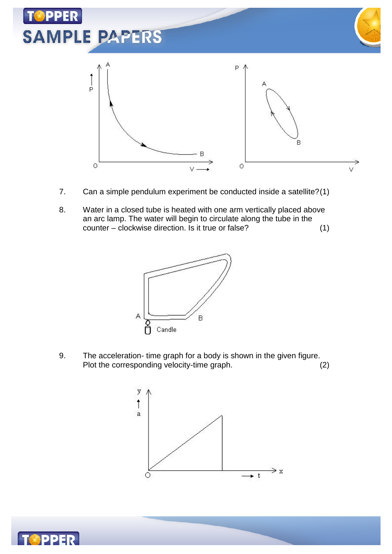

- 7. Can a simple pendulum experiment be conducted inside a satellite?(1)
- 8. Water in a closed tube is heated with one arm vertically placed above an arc lamp. The water will begin to circulate along the tube in the counter – clockwise direction. Is it true or false? (1)



9. The acceleration- time graph for a body is shown in the given figure. Plot the corresponding velocity-time graph. (2)



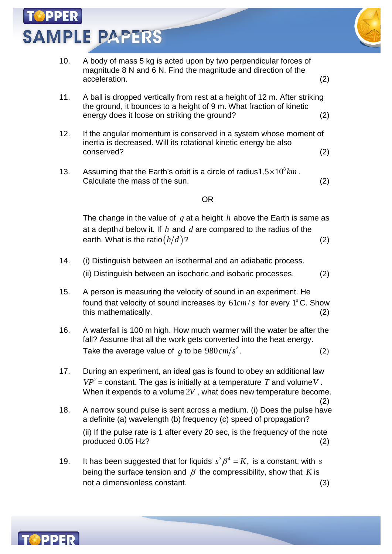**SAMPLE PAPERS** 



- 11. A ball is dropped vertically from rest at a height of 12 m. After striking the ground, it bounces to a height of 9 m. What fraction of kinetic energy does it loose on striking the ground? (2)
- 12. If the angular momentum is conserved in a system whose moment of inertia is decreased. Will its rotational kinetic energy be also conserved? (2)
- 13. Assuming that the Earth's orbit is a circle of radius  $1.5 \times 10^8$  km. Calculate the mass of the sun. (2)

#### OR

The change in the value of *g* at a height *h* above the Earth is same as at a depth *d* below it. If *h* and *d* are compared to the radius of the earth. What is the ratio $\left(\frac{h}{d}\right)$ ? (2)

- 14. (i) Distinguish between an isothermal and an adiabatic process. (ii) Distinguish between an isochoric and isobaric processes. (2)
- 15. A person is measuring the velocity of sound in an experiment. He found that velocity of sound increases by  $61 cm/s$  for every  $1^{\circ}$  C. Show this mathematically. (2)
- 16. A waterfall is 100 m high. How much warmer will the water be after the fall? Assume that all the work gets converted into the heat energy. Take the average value of  $g$  to be  $980 \, cm/s^2$ .  $\hskip 3cm (2)$
- 17. During an experiment, an ideal gas is found to obey an additional law  $VP^2$  = constant. The gas is initially at a temperature T and volume V. When it expends to a volume 2*V* , what does new temperature become.
- (2) 18. A narrow sound pulse is sent across a medium. (i) Does the pulse have a definite (a) wavelength (b) frequency (c) speed of propagation?

(ii) If the pulse rate is 1 after every 20 sec, is the frequency of the note produced 0.05 Hz? (2)

19. It has been suggested that for liquids  $s^3 \beta^4 = K$ , is a constant, with *s* being the surface tension and  $\beta$  the compressibility, show that *K* is not a dimensionless constant. (3)

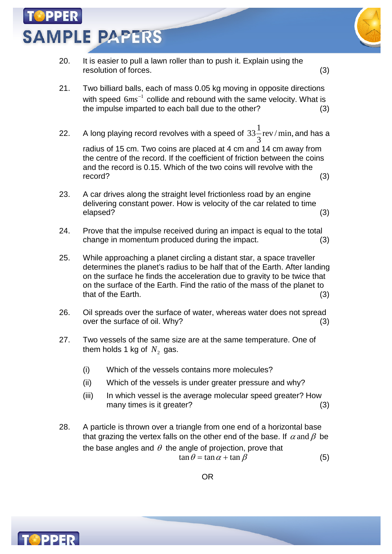**SAMPLE PAPERS** 



- 20. It is easier to pull a lawn roller than to push it. Explain using the resolution of forces. (3)
- 21. Two billiard balls, each of mass 0.05 kg moving in opposite directions with speed  $6ms^{-1}$  collide and rebound with the same velocity. What is the impulse imparted to each ball due to the other? (3)
- 22. A long playing record revolves with a speed of  $33\frac{1}{2}$ rev / min, 3 and has a

radius of 15 cm. Two coins are placed at 4 cm and 14 cm away from the centre of the record. If the coefficient of friction between the coins and the record is 0.15. Which of the two coins will revolve with the record? (3)

- 23. A car drives along the straight level frictionless road by an engine delivering constant power. How is velocity of the car related to time elapsed? (3)
- 24. Prove that the impulse received during an impact is equal to the total change in momentum produced during the impact. (3)
- 25. While approaching a planet circling a distant star, a space traveller determines the planet's radius to be half that of the Earth. After landing on the surface he finds the acceleration due to gravity to be twice that on the surface of the Earth. Find the ratio of the mass of the planet to that of the Earth. (3)
- 26. Oil spreads over the surface of water, whereas water does not spread over the surface of oil. Why? (3)
- 27. Two vessels of the same size are at the same temperature. One of them holds 1 kg of  $\,N_2^{}\,$  gas.
	- (i) Which of the vessels contains more molecules?
	- (ii) Which of the vessels is under greater pressure and why?
	- (iii) In which vessel is the average molecular speed greater? How many times is it greater? (3)
- 28. A particle is thrown over a triangle from one end of a horizontal base that grazing the vertex falls on the other end of the base. If  $\alpha$  and  $\beta$  be the base angles and  $\theta$  the angle of projection, prove that  $\tan \theta = \tan \alpha + \tan \beta$  (5)

OR